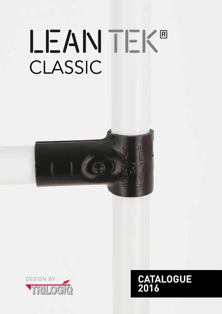# LEAN TEK® CLASSIC





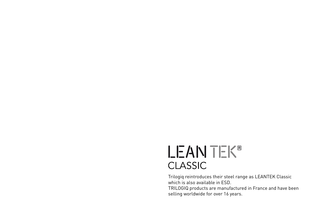# LEANTEK® CLASSIC

Trilogiq reintroduces their steel range as LEANTEK Classic which is also available in ESD. TRILOGIQ products are manufactured in France and have been selling worldwide for over 16 years.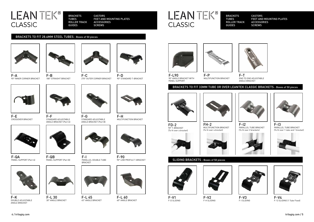

F-A 90° INNER CORNER BRACKET



180° STRAIGHT BRACKET



F-C 270° OUTER CORNER BRACKET

F-D

90° STANDARD T-BRACKET





F-F





 $F-I2$ PARALLEL TUBE BRACKET (To fit over 2 brackets)



STANDARD ADJUSTABLE ANGLE BRACKET (Part A) F-G





F-H MULTIFUNCTION BRACKET







F-QA PANEL SUPPORT (Part A)

90° ANGLE BRACKET WITH PANEL SUPPORT

FD-2 90° T-BRACKET (To fit over a bracket)



F-90 90° LOW PROFILE T-BRACKET



F-I3 PARALLEL TUBE BRACKET (To fit over 1 tube and 1 bracket)







MULTIFUNCTION BRACKET



CASTORS FEET AND MOUNTING PLATES ACCESSORIES **SCREWS** 



FH-2 (To fit over a bracket)





F-L 60 60° ANGLE BRACKET



F-K DOUBLE ADJUSTABLE ANGLE BRACKET





F-L 45 45° ANGLE BRACKET





F-P MULTIFUNCTION BRACKET



F-T END TO END ADJUSTABLE ANGLE BRACKET

F-L90



CLASSIC

LEANTEK®



### BRACKETS TO FIT 33MM TUBE OR OVER LEANTEK CLASSIC BRACKETS - Boxes of 50 pieces





F-V3 F-I SLIDING

F-V1 F-D SLIDING



F-V4 F-12 SLIDING (1 Tube Fixed)



F-V2 F-H SLIDING

### SLIDING BRACKETS - Boxes of 50 pieces



## LEANTEK® CLASSIC

BRACKETS TUBES ROLLER TRACK GUIDES

CASTORS FEET AND MOUNTING PLATES ACCESSORIES SCREWS

BRACKETS

TUBES

ROLLER TRACK

GUIDES

### BRACKETS TO FIT 28.6MM STEEL TUBES - Boxes of 50 pieces

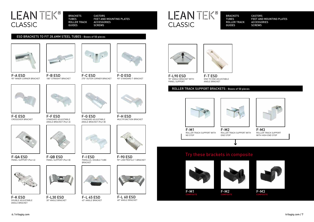6 / trilogiq.com trilogiq.com / 7



F-A ESD 90° INNER CORNER BRACKET



F-B ESD 180° STRAIGHT BRACKET



F-C ESD 270° OUTER CORNER BRACKET





F-E ESD CROSSOVER BRACKET











F-H ESD MULTIFUNCTION BRACKET



F-QA ESD PANEL SUPPORT (Part A)





F-QB ESD PANEL SUPPORT (Part B)



F-90 ESD 90° LOW PROFILE T-BRACKET









F-K ESD DOUBLE ADJUSTABLE ANGLE BRACKET

CASTORS FEET AND MOUNTING PLATES ACCESSORIES **SCREWS** 



F-L30 ESD 30° ANGLE BRACKET



F-L 45 ESD 45° ANGLE BRACKET



F-L 60 ESD 60° ANGLE BRACKET





F-T ESD END TO END ADJUSTABLE ANGLE BRACKET

### ESD BRACKETS TO FIT 28.6MM STEEL TUBES - Boxes of 50 pieces

ROLLER TRACK SUPPORT WITH







F-M2 ROLLER TRACK SUPPORT WITH END STOP





F-M3 ROLLER TRACK SUPPORT WITH HIGH END STOP



### ROLLER TRACK SUPPORT BRACKETS - Boxes of 50 pieces







**COMPOSITE**



F-M2







## LEANTEK® CLASSIC

BRACKETS TUBES ROLLER TRACK GUIDES

CASTORS FEET AND MOUNTING PLATES ACCESSORIES SCREWS

## LEANTEK® CLASSIC

BRACKETS TUBES ROLLER TRACK GUIDES

### Try these brackets in composite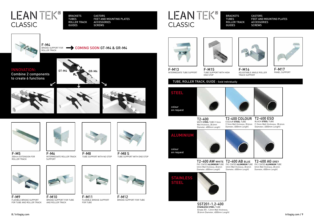

F-M8 TUBE SUPPORT WITH NO STOP



F-M8 S TUBE SUPPORT WITH END STOP



F-M5 200mm EXTENSION FOR ROLLER TRACK



F-M6 INTERMEDIATE ROLLER TRACK SUPPORT



F-M17 PANEL SUPPORT





F-M13 INTERMEDIATE TUBE SUPPORT



F-M10 BRIDGE SUPPORT FOR TUBE AND ROLLER TRACK FOR TUBE FOR TUBE SAME RAND ROLLER TRACK STRACK STRACK STRACK STRACK STRACK STRACK STRACK STRACK STRACK STRACK STRACK STRACK STRACK STRACK STRACK STRACK STRACK STRACK STRACK STRACK STRACK STRACK STRACK STR



F-M16 ADJUSTABLE ANGLE ROLLER TRACK SUPPORT

F-M15 TUBE SUPPORT WITH HIGH END STOP



F-M11 FLEXIBLE BRIDGE SUPPORT FOR TUBE





F-M12 BRIDGE SUPPORT FOR TUBE





F-M9 FLEXIBLE BRIDGE SUPPORT FOR TUBE AND ROLLER TRACK



WHITE **STEEL** TUBE (1.5mm Wall thickness, 28.6mm Diameter, 4000mm Length)

### CASTORS FEET AND MOUNTING PLATES ACCESSORIES **SCREWS**



COLOUR **STEEL** TUBE (1.5mm Wall thickness, 28.6mm Diameter, 4000mm Length)

T2-400 COLOUR T2-400 ESD BLACK **STEEL** TUBE (1.5mm Wall thickness, 28.6mm Diameter, 4000mm Length)



(2mm Wall thickness, 28.6mm Diameter, 4000mm Length)



(2mm Wall thickness, 28.6mm Diameter, 4000mm Length)



**STAINLESS STEEL** TUBE (Grade 201, 1.2mm Wall thickness, 28.6mm Diameter, 4000mm Length)



PVC COATED **ALUMINIUM** TUBE PVC COATED **ALUMINIUM** TUBE PVC COATED **ALUMINIUM** TUBE T2-400 AG GREY (2mm Wall thickness, 28.6mm Diameter, 4000mm Length)

### TUBE, ROLLER TRACK, GUIDE - Sold individually

**ALUMINIUM**

colour on request

## LEANTEK® **CLASSIC**

BRACKETS TUBES ROLLER TRACK GUIDES

**CASTORS** FEET AND MOUNTING PLATES ACCESSORIES **SCREWS** 

Ζ



BRACKETS TUBES ROLLER TRACK GUIDES



F-M4 ROLLER TRACK

 $\boldsymbol{\nu}$ 

BRIDGE SUPPORT FOR **A COMING SOON GT-M4 & GR-M4** 

INNOVATION: Combine 2 components to create 6 functions





GT-M4 GR-M4

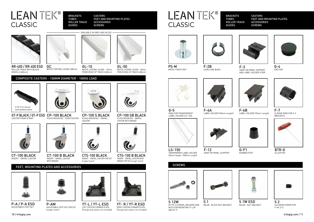

GC WHITE CENTRAL GUIDE (400cm)



GL-10 WHITE LATERAL GUIDE - 10mm FROM EDGE OF TRACK (400cm)



GL-50 WHITE LATERAL GUIDE - 50mm FROM EDGE OF TRACK (400cm)



ROLLER TRACK WITH BLACK

WHEELS (400cm)

## COMPOSITE CASTERS - 100MM DIAMETER - 100KG LOAD

CT-100 B BLACK INSERT - SWIVEL CASTOR WITH BRAKE

PLATE MOUNTED - FIXED CASTOR

CP-100 S BLACK PLATE MOUNTED - SWIVEL CASTOR



PLATE MOUNTED - SWIVEL CASTOR WITH BRAKE



CT-100 BLACK INSERT - SWIVEL CASTOR





GT-P BLACK / GT-P ESD CP-100 BLACK CASTOR FIXING STRAP



CTS-100 BLACK INSERT - SWIVEL CASTOR FOR SST (Larger Insert)



CTS-100 B BLACK INSERT - SWIVEL CASTOR WITH BRAKE FOR SST (Larger Insert)

CASTORS FEET AND MOUNTING PLATES **ACCESSORIES SCREWS** 

- AVAILABLE IN GREY AND IN ESD ·

FEET, MOUNTING PLATES AND ACCESSORIES

### CASTORS FEET AND MOUNTING PLATES **ACCESSORIES SCREWS**



YT- R / YT-R ESD RIGHT CASTOR CORNER PLATE (Fixings and castors not included)

## LEANTEK® CLASSIC



LEFT CASTOR CORNER PLATE



YT-L / YT-L ESD (Fixings and castors not included)





P-A / P-A ESD ADJUSTABLE FOOT SET



P-AM ADJUSTABLE FOOT SET FOR SST (Larger Insert)



F-2B LEVELLING BUSH





G-4 END CAP



F-3 SNAP ON PANEL SUPPORT AND LABEL HOLDER STRIP

PS-M

METAL FIXED FOOT









G-5 RING FOR TRANSPARENT LABEL HOLDER (LS-150)



LS-150 TRANSPARENT LABEL HOLDER (30mm Height, 1500mm Length)



F-6B LABEL HOLDER (70mm Length)

F-12 SNAP ON PANEL SUPPORT



RUBBER FOOT



BTR-G ALLEN KEY



## LEANTEK® CLASSIC

BRACKETS TUBES ROLLER TRACK GUIDES

BRACKETS TUBES ROLLER TRACK GUIDES





F-7 SLIDING RING FOR F-V BRACKETS





KIT OF 4 SCREWS, WASHERS AND NUTS FOR MOUNTING YT-L/R S 1 M6x28 - BLACK NUT AND BOLT

AND GT-P



M6x28 - NUT AND BOLT



S 2 4x5 GRUB SCREW FOR F-M1,2+3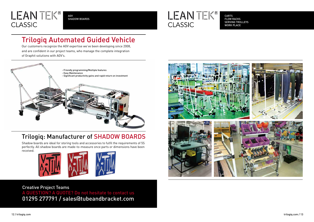## Trilogiq Automated Guided Vehicle

Our customers recognize the AGV expertise we've been developing since 2008, and are confident in our project teams, who manage the complete integration of Graphit solutions with AGV's.

## Trilogiq: Manufacturer of SHADOW BOARDS

Shadow boards are ideal for storing tools and accessories to fulfil the requirements of 5S perfectly. All shadow boards are made-to-measure once parts or dimensions have been received.





CARTS FLOW RACKS WORK PLACE



## LEANTEK® **CLASSIC**

AGV SHADOW BOARDS



### Creative Project Teams

A QUESTION? A QUOTE? Do not hesitate to contact us 01295 277791 / sales@tubeandbracket.com

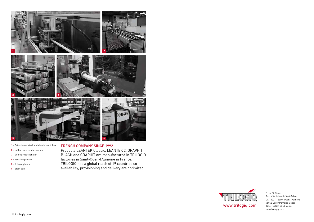### FRENCH COMPANY SINCE 1992

Products LEANTEK Classic, LEANTEK 2, GRAPHIT BLACK and GRAPHIT are manufactured in TRILOGIQ factories in Saint-Ouen-l'Aumône in France. TRILOGIQ has a global reach of 19 countries so availability, provisioning and delivery are optimized.

- **1** Extrusion of steel and aluminium tubes
- **2** Roller track production unit
- **3** Guide production unit
- **4** Injection presses
- **5** Trilogiq plants
- **6** Steel coils





5 rue St Simon Parc d'Activités du Vert Galant CS 70001 - Saint-Ouen-l'Aumône 95046 Cergy Pontoise Cedex Tél. : +33(0)1 34 30 74 74 info@trilogiq.com